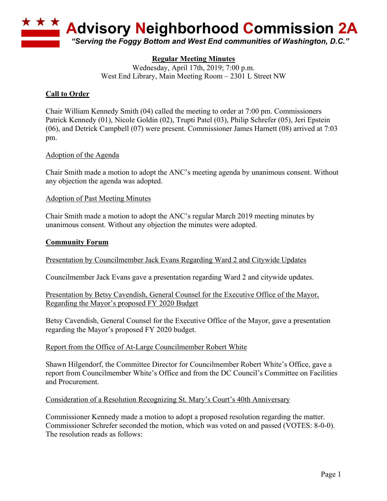

# **Regular Meeting Minutes**

Wednesday, April 17th, 2019; 7:00 p.m. West End Library, Main Meeting Room – 2301 L Street NW

# **Call to Order**

Chair William Kennedy Smith (04) called the meeting to order at 7:00 pm. Commissioners Patrick Kennedy (01), Nicole Goldin (02), Trupti Patel (03), Philip Schrefer (05), Jeri Epstein (06), and Detrick Campbell (07) were present. Commissioner James Harnett (08) arrived at 7:03 pm.

### Adoption of the Agenda

Chair Smith made a motion to adopt the ANC's meeting agenda by unanimous consent. Without any objection the agenda was adopted.

#### Adoption of Past Meeting Minutes

Chair Smith made a motion to adopt the ANC's regular March 2019 meeting minutes by unanimous consent. Without any objection the minutes were adopted.

#### **Community Forum**

Presentation by Councilmember Jack Evans Regarding Ward 2 and Citywide Updates

Councilmember Jack Evans gave a presentation regarding Ward 2 and citywide updates.

Presentation by Betsy Cavendish, General Counsel for the Executive Office of the Mayor, Regarding the Mayor's proposed FY 2020 Budget

Betsy Cavendish, General Counsel for the Executive Office of the Mayor, gave a presentation regarding the Mayor's proposed FY 2020 budget.

### Report from the Office of At-Large Councilmember Robert White

Shawn Hilgendorf, the Committee Director for Councilmember Robert White's Office, gave a report from Councilmember White's Office and from the DC Council's Committee on Facilities and Procurement.

#### Consideration of a Resolution Recognizing St. Mary's Court's 40th Anniversary

Commissioner Kennedy made a motion to adopt a proposed resolution regarding the matter. Commissioner Schrefer seconded the motion, which was voted on and passed (VOTES: 8-0-0). The resolution reads as follows: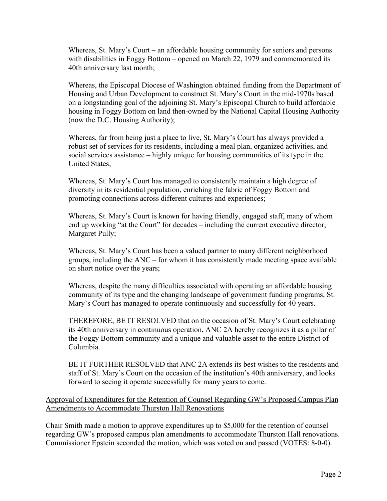Whereas, St. Mary's Court – an affordable housing community for seniors and persons with disabilities in Foggy Bottom – opened on March 22, 1979 and commemorated its 40th anniversary last month;

Whereas, the Episcopal Diocese of Washington obtained funding from the Department of Housing and Urban Development to construct St. Mary's Court in the mid-1970s based on a longstanding goal of the adjoining St. Mary's Episcopal Church to build affordable housing in Foggy Bottom on land then-owned by the National Capital Housing Authority (now the D.C. Housing Authority);

Whereas, far from being just a place to live, St. Mary's Court has always provided a robust set of services for its residents, including a meal plan, organized activities, and social services assistance – highly unique for housing communities of its type in the United States;

Whereas, St. Mary's Court has managed to consistently maintain a high degree of diversity in its residential population, enriching the fabric of Foggy Bottom and promoting connections across different cultures and experiences;

Whereas, St. Mary's Court is known for having friendly, engaged staff, many of whom end up working "at the Court" for decades – including the current executive director, Margaret Pully;

Whereas, St. Mary's Court has been a valued partner to many different neighborhood groups, including the ANC – for whom it has consistently made meeting space available on short notice over the years;

Whereas, despite the many difficulties associated with operating an affordable housing community of its type and the changing landscape of government funding programs, St. Mary's Court has managed to operate continuously and successfully for 40 years.

THEREFORE, BE IT RESOLVED that on the occasion of St. Mary's Court celebrating its 40th anniversary in continuous operation, ANC 2A hereby recognizes it as a pillar of the Foggy Bottom community and a unique and valuable asset to the entire District of Columbia.

BE IT FURTHER RESOLVED that ANC 2A extends its best wishes to the residents and staff of St. Mary's Court on the occasion of the institution's 40th anniversary, and looks forward to seeing it operate successfully for many years to come.

Approval of Expenditures for the Retention of Counsel Regarding GW's Proposed Campus Plan Amendments to Accommodate Thurston Hall Renovations

Chair Smith made a motion to approve expenditures up to \$5,000 for the retention of counsel regarding GW's proposed campus plan amendments to accommodate Thurston Hall renovations. Commissioner Epstein seconded the motion, which was voted on and passed (VOTES: 8-0-0).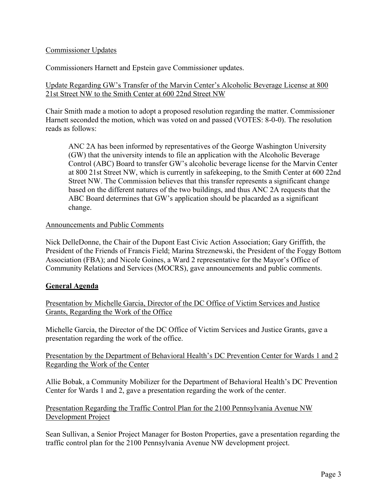### Commissioner Updates

Commissioners Harnett and Epstein gave Commissioner updates.

### Update Regarding GW's Transfer of the Marvin Center's Alcoholic Beverage License at 800 21st Street NW to the Smith Center at 600 22nd Street NW

Chair Smith made a motion to adopt a proposed resolution regarding the matter. Commissioner Harnett seconded the motion, which was voted on and passed (VOTES: 8-0-0). The resolution reads as follows:

ANC 2A has been informed by representatives of the George Washington University (GW) that the university intends to file an application with the Alcoholic Beverage Control (ABC) Board to transfer GW's alcoholic beverage license for the Marvin Center at 800 21st Street NW, which is currently in safekeeping, to the Smith Center at 600 22nd Street NW. The Commission believes that this transfer represents a significant change based on the different natures of the two buildings, and thus ANC 2A requests that the ABC Board determines that GW's application should be placarded as a significant change.

### Announcements and Public Comments

Nick DelleDonne, the Chair of the Dupont East Civic Action Association; Gary Griffith, the President of the Friends of Francis Field; Marina Streznewski, the President of the Foggy Bottom Association (FBA); and Nicole Goines, a Ward 2 representative for the Mayor's Office of Community Relations and Services (MOCRS), gave announcements and public comments.

### **General Agenda**

Presentation by Michelle Garcia, Director of the DC Office of Victim Services and Justice Grants, Regarding the Work of the Office

Michelle Garcia, the Director of the DC Office of Victim Services and Justice Grants, gave a presentation regarding the work of the office.

Presentation by the Department of Behavioral Health's DC Prevention Center for Wards 1 and 2 Regarding the Work of the Center

Allie Bobak, a Community Mobilizer for the Department of Behavioral Health's DC Prevention Center for Wards 1 and 2, gave a presentation regarding the work of the center.

Presentation Regarding the Traffic Control Plan for the 2100 Pennsylvania Avenue NW Development Project

Sean Sullivan, a Senior Project Manager for Boston Properties, gave a presentation regarding the traffic control plan for the 2100 Pennsylvania Avenue NW development project.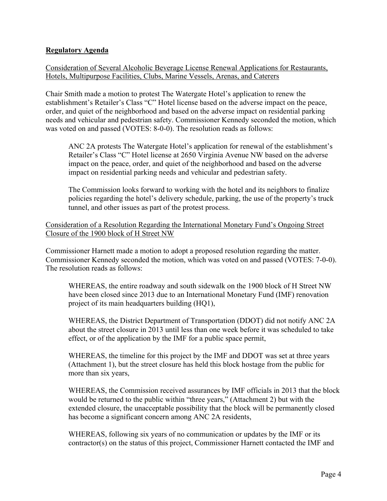## **Regulatory Agenda**

Consideration of Several Alcoholic Beverage License Renewal Applications for Restaurants, Hotels, Multipurpose Facilities, Clubs, Marine Vessels, Arenas, and Caterers

Chair Smith made a motion to protest The Watergate Hotel's application to renew the establishment's Retailer's Class "C" Hotel license based on the adverse impact on the peace, order, and quiet of the neighborhood and based on the adverse impact on residential parking needs and vehicular and pedestrian safety. Commissioner Kennedy seconded the motion, which was voted on and passed (VOTES: 8-0-0). The resolution reads as follows:

ANC 2A protests The Watergate Hotel's application for renewal of the establishment's Retailer's Class "C" Hotel license at 2650 Virginia Avenue NW based on the adverse impact on the peace, order, and quiet of the neighborhood and based on the adverse impact on residential parking needs and vehicular and pedestrian safety.

The Commission looks forward to working with the hotel and its neighbors to finalize policies regarding the hotel's delivery schedule, parking, the use of the property's truck tunnel, and other issues as part of the protest process.

Consideration of a Resolution Regarding the International Monetary Fund's Ongoing Street Closure of the 1900 block of H Street NW

Commissioner Harnett made a motion to adopt a proposed resolution regarding the matter. Commissioner Kennedy seconded the motion, which was voted on and passed (VOTES: 7-0-0). The resolution reads as follows:

WHEREAS, the entire roadway and south sidewalk on the 1900 block of H Street NW have been closed since 2013 due to an International Monetary Fund (IMF) renovation project of its main headquarters building (HQ1),

WHEREAS, the District Department of Transportation (DDOT) did not notify ANC 2A about the street closure in 2013 until less than one week before it was scheduled to take effect, or of the application by the IMF for a public space permit,

WHEREAS, the timeline for this project by the IMF and DDOT was set at three years (Attachment 1), but the street closure has held this block hostage from the public for more than six years,

WHEREAS, the Commission received assurances by IMF officials in 2013 that the block would be returned to the public within "three years," (Attachment 2) but with the extended closure, the unacceptable possibility that the block will be permanently closed has become a significant concern among ANC 2A residents,

WHEREAS, following six years of no communication or updates by the IMF or its contractor(s) on the status of this project, Commissioner Harnett contacted the IMF and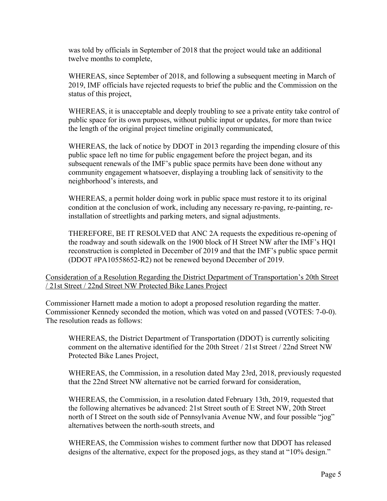was told by officials in September of 2018 that the project would take an additional twelve months to complete,

WHEREAS, since September of 2018, and following a subsequent meeting in March of 2019, IMF officials have rejected requests to brief the public and the Commission on the status of this project,

WHEREAS, it is unacceptable and deeply troubling to see a private entity take control of public space for its own purposes, without public input or updates, for more than twice the length of the original project timeline originally communicated,

WHEREAS, the lack of notice by DDOT in 2013 regarding the impending closure of this public space left no time for public engagement before the project began, and its subsequent renewals of the IMF's public space permits have been done without any community engagement whatsoever, displaying a troubling lack of sensitivity to the neighborhood's interests, and

WHEREAS, a permit holder doing work in public space must restore it to its original condition at the conclusion of work, including any necessary re-paving, re-painting, reinstallation of streetlights and parking meters, and signal adjustments.

THEREFORE, BE IT RESOLVED that ANC 2A requests the expeditious re-opening of the roadway and south sidewalk on the 1900 block of H Street NW after the IMF's HQ1 reconstruction is completed in December of 2019 and that the IMF's public space permit (DDOT #PA10558652-R2) not be renewed beyond December of 2019.

Consideration of a Resolution Regarding the District Department of Transportation's 20th Street / 21st Street / 22nd Street NW Protected Bike Lanes Project

Commissioner Harnett made a motion to adopt a proposed resolution regarding the matter. Commissioner Kennedy seconded the motion, which was voted on and passed (VOTES: 7-0-0). The resolution reads as follows:

WHEREAS, the District Department of Transportation (DDOT) is currently soliciting comment on the alternative identified for the 20th Street / 21st Street / 22nd Street NW Protected Bike Lanes Project,

WHEREAS, the Commission, in a resolution dated May 23rd, 2018, previously requested that the 22nd Street NW alternative not be carried forward for consideration,

WHEREAS, the Commission, in a resolution dated February 13th, 2019, requested that the following alternatives be advanced: 21st Street south of E Street NW, 20th Street north of I Street on the south side of Pennsylvania Avenue NW, and four possible "jog" alternatives between the north-south streets, and

WHEREAS, the Commission wishes to comment further now that DDOT has released designs of the alternative, expect for the proposed jogs, as they stand at "10% design."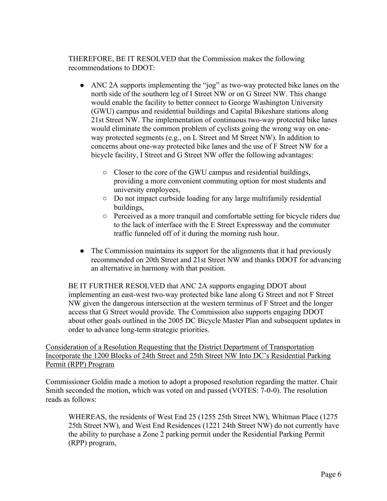THEREFORE, BE IT RESOLVED that the Commission makes the following recommendations to DDOT:

- ANC 2A supports implementing the "jog" as two-way protected bike lanes on the north side of the southern leg of I Street NW or on G Street NW. This change would enable the facility to better connect to George Washington University (GWU) campus and residential buildings and Capital Bikeshare stations along 21st Street NW. The implementation of continuous two-way protected bike lanes would eliminate the common problem of cyclists going the wrong way on oneway protected segments (e.g., on L Street and M Street NW). In addition to concerns about one-way protected bike lanes and the use of F Street NW for a bicycle facility, I Street and G Street NW offer the following advantages:
	- Closer to the core of the GWU campus and residential buildings, providing a more convenient commuting option for most students and university employees,
	- Do not impact curbside loading for any large multifamily residential buildings,
	- Perceived as a more tranquil and comfortable setting for bicycle riders due to the lack of interface with the E Street Expressway and the commuter traffic funneled off of it during the morning rush hour.
- The Commission maintains its support for the alignments that it had previously recommended on 20th Street and 21st Street NW and thanks DDOT for advancing an alternative in harmony with that position.

BE IT FURTHER RESOLVED that ANC 2A supports engaging DDOT about implementing an east-west two-way protected bike lane along G Street and not F Street NW given the dangerous intersection at the western terminus of F Street and the longer access that G Street would provide. The Commission also supports engaging DDOT about other goals outlined in the 2005 DC Bicycle Master Plan and subsequent updates in order to advance long-term strategic priorities.

Consideration of a Resolution Requesting that the District Department of Transportation Incorporate the 1200 Blocks of 24th Street and 25th Street NW Into DC's Residential Parking Permit (RPP) Program

Commissioner Goldin made a motion to adopt a proposed resolution regarding the matter. Chair Smith seconded the motion, which was voted on and passed (VOTES: 7-0-0). The resolution reads as follows:

WHEREAS, the residents of West End 25 (1255 25th Street NW), Whitman Place (1275 25th Street NW), and West End Residences (1221 24th Street NW) do not currently have the ability to purchase a Zone 2 parking permit under the Residential Parking Permit (RPP) program,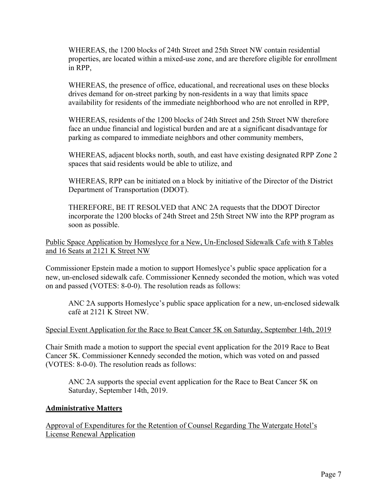WHEREAS, the 1200 blocks of 24th Street and 25th Street NW contain residential properties, are located within a mixed-use zone, and are therefore eligible for enrollment in RPP,

WHEREAS, the presence of office, educational, and recreational uses on these blocks drives demand for on-street parking by non-residents in a way that limits space availability for residents of the immediate neighborhood who are not enrolled in RPP,

WHEREAS, residents of the 1200 blocks of 24th Street and 25th Street NW therefore face an undue financial and logistical burden and are at a significant disadvantage for parking as compared to immediate neighbors and other community members,

WHEREAS, adjacent blocks north, south, and east have existing designated RPP Zone 2 spaces that said residents would be able to utilize, and

WHEREAS, RPP can be initiated on a block by initiative of the Director of the District Department of Transportation (DDOT).

THEREFORE, BE IT RESOLVED that ANC 2A requests that the DDOT Director incorporate the 1200 blocks of 24th Street and 25th Street NW into the RPP program as soon as possible.

# Public Space Application by Homeslyce for a New, Un-Enclosed Sidewalk Cafe with 8 Tables and 16 Seats at 2121 K Street NW

Commissioner Epstein made a motion to support Homeslyce's public space application for a new, un-enclosed sidewalk cafe. Commissioner Kennedy seconded the motion, which was voted on and passed (VOTES: 8-0-0). The resolution reads as follows:

ANC 2A supports Homeslyce's public space application for a new, un-enclosed sidewalk café at 2121 K Street NW.

### Special Event Application for the Race to Beat Cancer 5K on Saturday, September 14th, 2019

Chair Smith made a motion to support the special event application for the 2019 Race to Beat Cancer 5K. Commissioner Kennedy seconded the motion, which was voted on and passed (VOTES: 8-0-0). The resolution reads as follows:

ANC 2A supports the special event application for the Race to Beat Cancer 5K on Saturday, September 14th, 2019.

### **Administrative Matters**

Approval of Expenditures for the Retention of Counsel Regarding The Watergate Hotel's License Renewal Application